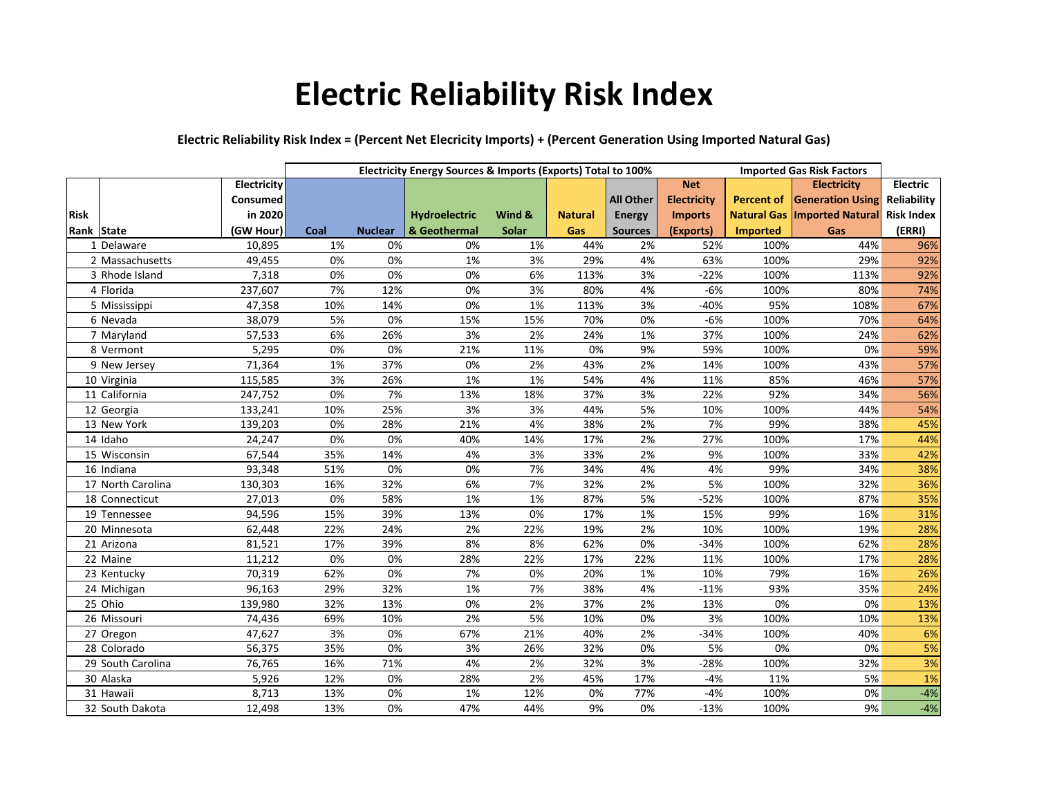## **Electric Reliability Risk Index**

## **Electric Reliability Risk Index = (Percent Net Elecricity Imports) + (Percent Generation Using Imported Natural Gas)**

|             |                   |             | Electricity Energy Sources & Imports (Exports) Total to 100% |                |               |        |                |                  | <b>Imported Gas Risk Factors</b> |                 |                                       |                   |
|-------------|-------------------|-------------|--------------------------------------------------------------|----------------|---------------|--------|----------------|------------------|----------------------------------|-----------------|---------------------------------------|-------------------|
|             |                   | Electricity |                                                              |                |               |        |                |                  | <b>Net</b>                       |                 | <b>Electricity</b>                    | <b>Electric</b>   |
|             |                   | Consumed    |                                                              |                |               |        |                | <b>All Other</b> | <b>Electricity</b>               |                 | <b>Percent of Generation Using</b>    | Reliability       |
| <b>Risk</b> |                   | in 2020     |                                                              |                | Hydroelectric | Wind & | <b>Natural</b> | <b>Energy</b>    | <b>Imports</b>                   |                 | <b>Natural Gas   Imported Natural</b> | <b>Risk Index</b> |
| Rank State  |                   | (GW Hour)   | Coal                                                         | <b>Nuclear</b> | & Geothermal  | Solar  | Gas            | <b>Sources</b>   | (Exports)                        | <b>Imported</b> | Gas                                   | (ERRI)            |
|             | 1 Delaware        | 10,895      | 1%                                                           | 0%             | 0%            | 1%     | 44%            | 2%               | 52%                              | 100%            | 44%                                   | 96%               |
|             | 2 Massachusetts   | 49,455      | 0%                                                           | 0%             | 1%            | 3%     | 29%            | 4%               | 63%                              | 100%            | 29%                                   | 92%               |
|             | 3 Rhode Island    | 7,318       | 0%                                                           | 0%             | 0%            | 6%     | 113%           | 3%               | $-22%$                           | 100%            | 113%                                  | 92%               |
|             | 4 Florida         | 237,607     | 7%                                                           | 12%            | 0%            | 3%     | 80%            | 4%               | $-6%$                            | 100%            | 80%                                   | 74%               |
|             | 5 Mississippi     | 47,358      | 10%                                                          | 14%            | 0%            | 1%     | 113%           | 3%               | $-40%$                           | 95%             | 108%                                  | 67%               |
|             | 6 Nevada          | 38,079      | 5%                                                           | 0%             | 15%           | 15%    | 70%            | 0%               | $-6%$                            | 100%            | 70%                                   | 64%               |
|             | 7 Maryland        | 57,533      | 6%                                                           | 26%            | 3%            | 2%     | 24%            | 1%               | 37%                              | 100%            | 24%                                   | 62%               |
|             | 8 Vermont         | 5,295       | 0%                                                           | 0%             | 21%           | 11%    | 0%             | 9%               | 59%                              | 100%            | 0%                                    | 59%               |
|             | 9 New Jersey      | 71,364      | 1%                                                           | 37%            | 0%            | 2%     | 43%            | 2%               | 14%                              | 100%            | 43%                                   | 57%               |
|             | 10 Virginia       | 115,585     | 3%                                                           | 26%            | 1%            | 1%     | 54%            | 4%               | 11%                              | 85%             | 46%                                   | 57%               |
|             | 11 California     | 247,752     | 0%                                                           | 7%             | 13%           | 18%    | 37%            | 3%               | 22%                              | 92%             | 34%                                   | 56%               |
|             | 12 Georgia        | 133,241     | 10%                                                          | 25%            | 3%            | 3%     | 44%            | 5%               | 10%                              | 100%            | 44%                                   | 54%               |
|             | 13 New York       | 139,203     | 0%                                                           | 28%            | 21%           | 4%     | 38%            | 2%               | 7%                               | 99%             | 38%                                   | 45%               |
|             | 14 Idaho          | 24,247      | 0%                                                           | 0%             | 40%           | 14%    | 17%            | 2%               | 27%                              | 100%            | 17%                                   | 44%               |
|             | 15 Wisconsin      | 67,544      | 35%                                                          | 14%            | 4%            | 3%     | 33%            | 2%               | 9%                               | 100%            | 33%                                   | 42%               |
|             | 16 Indiana        | 93,348      | 51%                                                          | 0%             | 0%            | 7%     | 34%            | 4%               | 4%                               | 99%             | 34%                                   | 38%               |
|             | 17 North Carolina | 130,303     | 16%                                                          | 32%            | 6%            | 7%     | 32%            | 2%               | 5%                               | 100%            | 32%                                   | 36%               |
|             | 18 Connecticut    | 27,013      | 0%                                                           | 58%            | 1%            | 1%     | 87%            | 5%               | $-52%$                           | 100%            | 87%                                   | 35%               |
|             | 19 Tennessee      | 94,596      | 15%                                                          | 39%            | 13%           | 0%     | 17%            | 1%               | 15%                              | 99%             | 16%                                   | 31%               |
|             | 20 Minnesota      | 62,448      | 22%                                                          | 24%            | 2%            | 22%    | 19%            | 2%               | 10%                              | 100%            | 19%                                   | 28%               |
|             | 21 Arizona        | 81,521      | 17%                                                          | 39%            | 8%            | 8%     | 62%            | 0%               | $-34%$                           | 100%            | 62%                                   | 28%               |
|             | 22 Maine          | 11,212      | 0%                                                           | 0%             | 28%           | 22%    | 17%            | 22%              | 11%                              | 100%            | 17%                                   | 28%               |
|             | 23 Kentucky       | 70,319      | 62%                                                          | 0%             | 7%            | 0%     | 20%            | 1%               | 10%                              | 79%             | 16%                                   | 26%               |
|             | 24 Michigan       | 96,163      | 29%                                                          | 32%            | 1%            | 7%     | 38%            | 4%               | $-11%$                           | 93%             | 35%                                   | 24%               |
|             | 25 Ohio           | 139,980     | 32%                                                          | 13%            | 0%            | 2%     | 37%            | 2%               | 13%                              | 0%              | 0%                                    | 13%               |
|             | 26 Missouri       | 74,436      | 69%                                                          | 10%            | 2%            | 5%     | 10%            | 0%               | 3%                               | 100%            | 10%                                   | 13%               |
|             | 27 Oregon         | 47,627      | 3%                                                           | 0%             | 67%           | 21%    | 40%            | 2%               | $-34%$                           | 100%            | 40%                                   | 6%                |
|             | 28 Colorado       | 56,375      | 35%                                                          | 0%             | 3%            | 26%    | 32%            | 0%               | 5%                               | 0%              | 0%                                    | 5%                |
|             | 29 South Carolina | 76,765      | 16%                                                          | 71%            | 4%            | 2%     | 32%            | 3%               | $-28%$                           | 100%            | 32%                                   | 3%                |
|             | 30 Alaska         | 5,926       | 12%                                                          | 0%             | 28%           | 2%     | 45%            | 17%              | $-4%$                            | 11%             | 5%                                    | 1%                |
|             | 31 Hawaii         | 8,713       | 13%                                                          | 0%             | 1%            | 12%    | 0%             | 77%              | $-4%$                            | 100%            | 0%                                    | $-4%$             |
|             | 32 South Dakota   | 12,498      | 13%                                                          | 0%             | 47%           | 44%    | 9%             | 0%               | $-13%$                           | 100%            | 9%                                    | $-4%$             |